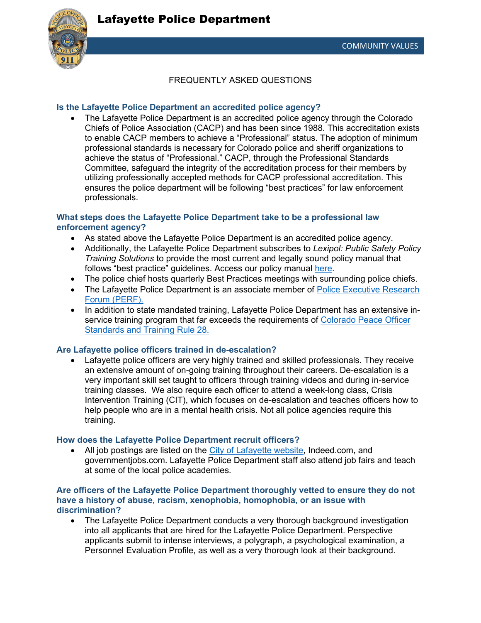

FREQUENTLY ASKED QUESTIONS

# **Is the Lafayette Police Department an accredited police agency?**

• The Lafayette Police Department is an accredited police agency through the Colorado Chiefs of Police Association (CACP) and has been since 1988. This accreditation exists to enable CACP members to achieve a "Professional" status. The adoption of minimum professional standards is necessary for Colorado police and sheriff organizations to achieve the status of "Professional." CACP, through the Professional Standards Committee, safeguard the integrity of the accreditation process for their members by utilizing professionally accepted methods for CACP professional accreditation. This ensures the police department will be following "best practices" for law enforcement professionals.

# **What steps does the Lafayette Police Department take to be a professional law enforcement agency?**

- As stated above the Lafayette Police Department is an accredited police agency.
- Additionally, the Lafayette Police Department subscribes to *Lexipol: Public Safety Policy Training Solutions* to provide the most current and legally sound policy manual that follows "best practice" guidelines. Access our policy manual [here.](https://cityoflafayette.com/DocumentCenter/View/29565/Lafayette-Police-Department-Policy-Manual)
- The police chief hosts quarterly Best Practices meetings with surrounding police chiefs.
- The Lafayette Police Department is an associate member of Police Executive Research [Forum \(PERF\).](https://www.policeforum.org/)
- In addition to state mandated training, Lafayette Police Department has an extensive inservice training program that far exceeds the requirements of Colorado Peace Officer [Standards and Training Rule 28.](https://www.colorado.gov/pacific/post/service-continuing-education-program-rule-28)

# **Are Lafayette police officers trained in de-escalation?**

Lafayette police officers are very highly trained and skilled professionals. They receive an extensive amount of on-going training throughout their careers. De-escalation is a very important skill set taught to officers through training videos and during in-service training classes. We also require each officer to attend a week-long class, Crisis Intervention Training (CIT), which focuses on de-escalation and teaches officers how to help people who are in a mental health crisis. Not all police agencies require this training.

# **How does the Lafayette Police Department recruit officers?**

• All job postings are listed on the [City of Lafayette website,](https://www.governmentjobs.com/careers/lafayette) Indeed.com, and governmentjobs.com. Lafayette Police Department staff also attend job fairs and teach at some of the local police academies.

#### **Are officers of the Lafayette Police Department thoroughly vetted to ensure they do not have a history of abuse, racism, xenophobia, homophobia, or an issue with discrimination?**

• The Lafayette Police Department conducts a very thorough background investigation into all applicants that are hired for the Lafayette Police Department. Perspective applicants submit to intense interviews, a polygraph, a psychological examination, a Personnel Evaluation Profile, as well as a very thorough look at their background.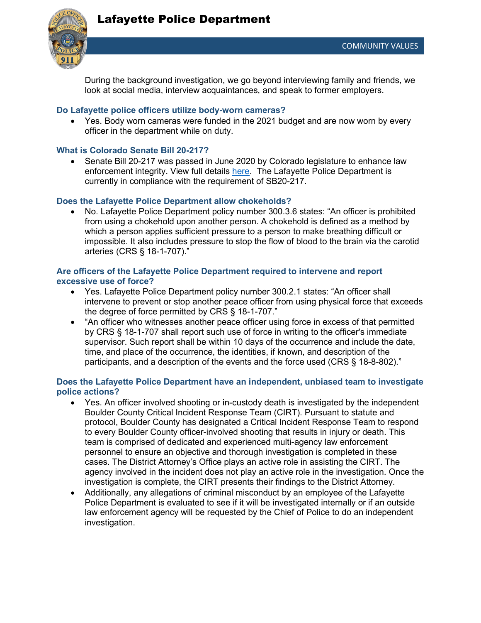# Lafayette Police Department



During the background investigation, we go beyond interviewing family and friends, we look at social media, interview acquaintances, and speak to former employers.

## **Do Lafayette police officers utilize body-worn cameras?**

• Yes. Body worn cameras were funded in the 2021 budget and are now worn by every officer in the department while on duty.

#### **What is Colorado Senate Bill 20-217?**

• Senate Bill 20-217 was passed in June 2020 by Colorado legislature to enhance law enforcement integrity. View full details [here.](https://leg.colorado.gov/sites/default/files/2020a_217_signed.pdf) The Lafayette Police Department is currently in compliance with the requirement of SB20-217.

#### **Does the Lafayette Police Department allow chokeholds?**

• No. Lafayette Police Department policy number 300.3.6 states: "An officer is prohibited from using a chokehold upon another person. A chokehold is defined as a method by which a person applies sufficient pressure to a person to make breathing difficult or impossible. It also includes pressure to stop the flow of blood to the brain via the carotid arteries (CRS § 18-1-707)."

## **Are officers of the Lafayette Police Department required to intervene and report excessive use of force?**

- Yes. Lafayette Police Department policy number 300.2.1 states: "An officer shall intervene to prevent or stop another peace officer from using physical force that exceeds the degree of force permitted by CRS § 18-1-707."
- "An officer who witnesses another peace officer using force in excess of that permitted by CRS § 18-1-707 shall report such use of force in writing to the officer's immediate supervisor. Such report shall be within 10 days of the occurrence and include the date, time, and place of the occurrence, the identities, if known, and description of the participants, and a description of the events and the force used (CRS § 18-8-802)."

#### **Does the Lafayette Police Department have an independent, unbiased team to investigate police actions?**

- Yes. An officer involved shooting or in-custody death is investigated by the independent Boulder County Critical Incident Response Team (CIRT). Pursuant to statute and protocol, Boulder County has designated a Critical Incident Response Team to respond to every Boulder County officer-involved shooting that results in injury or death. This team is comprised of dedicated and experienced multi-agency law enforcement personnel to ensure an objective and thorough investigation is completed in these cases. The District Attorney's Office plays an active role in assisting the CIRT. The agency involved in the incident does not play an active role in the investigation. Once the investigation is complete, the CIRT presents their findings to the District Attorney.
- Additionally, any allegations of criminal misconduct by an employee of the Lafayette Police Department is evaluated to see if it will be investigated internally or if an outside law enforcement agency will be requested by the Chief of Police to do an independent investigation.